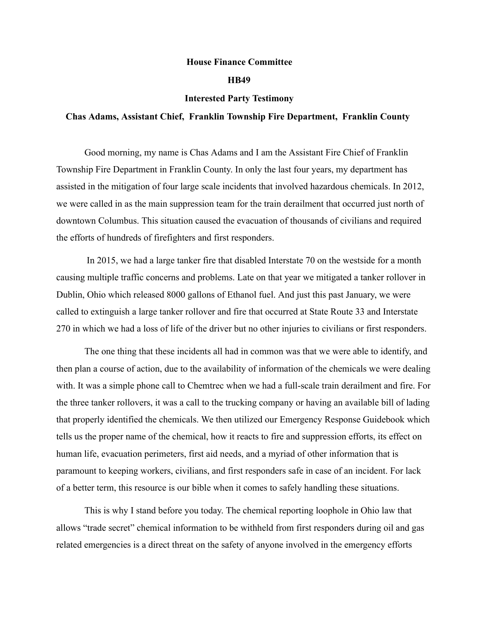## House Finance Committee

## HB49

## Interested Party Testimony

## Chas Adams, Assistant Chief, Franklin Township Fire Department, Franklin County

Good morning, my name is Chas Adams and I am the Assistant Fire Chief of Franklin Township Fire Department in Franklin County. In only the last four years, my department has assisted in the mitigation of four large scale incidents that involved hazardous chemicals. In 2012, we were called in as the main suppression team for the train derailment that occurred just north of downtown Columbus. This situation caused the evacuation of thousands of civilians and required the efforts of hundreds of firefighters and first responders.

In 2015, we had a large tanker fire that disabled Interstate 70 on the westside for a month causing multiple traffic concerns and problems. Late on that year we mitigated a tanker rollover in Dublin, Ohio which released 8000 gallons of Ethanol fuel. And just this past January, we were called to extinguish a large tanker rollover and fire that occurred at State Route 33 and Interstate 270 in which we had a loss of life of the driver but no other injuries to civilians or first responders.

The one thing that these incidents all had in common was that we were able to identify, and then plan a course of action, due to the availability of information of the chemicals we were dealing with. It was a simple phone call to Chemtrec when we had a full-scale train derailment and fire. For the three tanker rollovers, it was a call to the trucking company or having an available bill of lading that properly identified the chemicals. We then utilized our Emergency Response Guidebook which tells us the proper name of the chemical, how it reacts to fire and suppression efforts, its effect on human life, evacuation perimeters, first aid needs, and a myriad of other information that is paramount to keeping workers, civilians, and first responders safe in case of an incident. For lack of a better term, this resource is our bible when it comes to safely handling these situations.

This is why I stand before you today. The chemical reporting loophole in Ohio law that allows "trade secret" chemical information to be withheld from first responders during oil and gas related emergencies is a direct threat on the safety of anyone involved in the emergency efforts